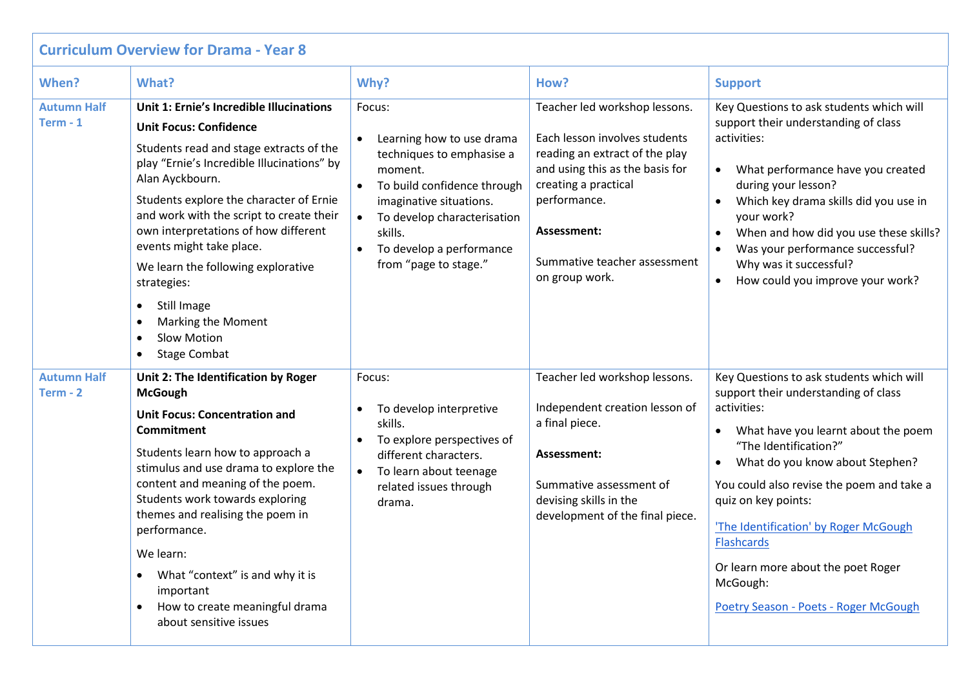| <b>Curriculum Overview for Drama - Year 8</b> |                                                                                                                                                                                                                                                                                                                                                                                                                                                                                                            |                                                                                                                                                                                                                                      |                                                                                                                                                                                                                                              |                                                                                                                                                                                                                                                                                                                                                                                                                                              |  |  |  |  |
|-----------------------------------------------|------------------------------------------------------------------------------------------------------------------------------------------------------------------------------------------------------------------------------------------------------------------------------------------------------------------------------------------------------------------------------------------------------------------------------------------------------------------------------------------------------------|--------------------------------------------------------------------------------------------------------------------------------------------------------------------------------------------------------------------------------------|----------------------------------------------------------------------------------------------------------------------------------------------------------------------------------------------------------------------------------------------|----------------------------------------------------------------------------------------------------------------------------------------------------------------------------------------------------------------------------------------------------------------------------------------------------------------------------------------------------------------------------------------------------------------------------------------------|--|--|--|--|
| When?                                         | What?                                                                                                                                                                                                                                                                                                                                                                                                                                                                                                      | Why?                                                                                                                                                                                                                                 | How?                                                                                                                                                                                                                                         | <b>Support</b>                                                                                                                                                                                                                                                                                                                                                                                                                               |  |  |  |  |
| <b>Autumn Half</b><br>Term $-1$               | Unit 1: Ernie's Incredible Illucinations<br><b>Unit Focus: Confidence</b><br>Students read and stage extracts of the<br>play "Ernie's Incredible Illucinations" by<br>Alan Ayckbourn.<br>Students explore the character of Ernie<br>and work with the script to create their<br>own interpretations of how different<br>events might take place.<br>We learn the following explorative<br>strategies:<br>Still Image<br>$\bullet$<br>Marking the Moment<br>Slow Motion<br>$\bullet$<br><b>Stage Combat</b> | Focus:<br>Learning how to use drama<br>techniques to emphasise a<br>moment.<br>To build confidence through<br>imaginative situations.<br>To develop characterisation<br>skills.<br>To develop a performance<br>from "page to stage." | Teacher led workshop lessons.<br>Each lesson involves students<br>reading an extract of the play<br>and using this as the basis for<br>creating a practical<br>performance.<br>Assessment:<br>Summative teacher assessment<br>on group work. | Key Questions to ask students which will<br>support their understanding of class<br>activities:<br>What performance have you created<br>$\bullet$<br>during your lesson?<br>Which key drama skills did you use in<br>your work?<br>When and how did you use these skills?<br>Was your performance successful?<br>Why was it successful?<br>How could you improve your work?<br>$\bullet$                                                     |  |  |  |  |
| <b>Autumn Half</b><br>Term - 2                | Unit 2: The Identification by Roger<br><b>McGough</b><br><b>Unit Focus: Concentration and</b><br><b>Commitment</b><br>Students learn how to approach a<br>stimulus and use drama to explore the<br>content and meaning of the poem.<br>Students work towards exploring<br>themes and realising the poem in<br>performance.<br>We learn:<br>What "context" is and why it is<br>$\bullet$<br>important<br>How to create meaningful drama<br>about sensitive issues                                           | Focus:<br>To develop interpretive<br>skills.<br>To explore perspectives of<br>different characters.<br>To learn about teenage<br>$\bullet$<br>related issues through<br>drama.                                                       | Teacher led workshop lessons.<br>Independent creation lesson of<br>a final piece.<br>Assessment:<br>Summative assessment of<br>devising skills in the<br>development of the final piece.                                                     | Key Questions to ask students which will<br>support their understanding of class<br>activities:<br>What have you learnt about the poem<br>$\bullet$<br>"The Identification?"<br>What do you know about Stephen?<br>You could also revise the poem and take a<br>quiz on key points:<br>'The Identification' by Roger McGough<br><b>Flashcards</b><br>Or learn more about the poet Roger<br>McGough:<br>Poetry Season - Poets - Roger McGough |  |  |  |  |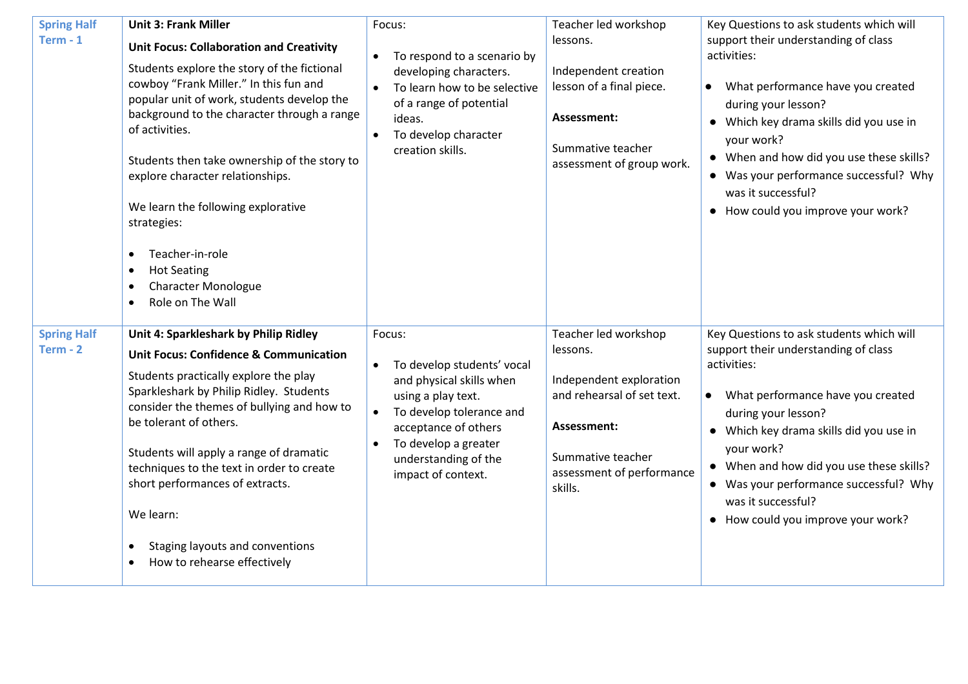| <b>Spring Half</b><br>Term $-1$  | <b>Unit 3: Frank Miller</b><br><b>Unit Focus: Collaboration and Creativity</b><br>Students explore the story of the fictional<br>cowboy "Frank Miller." In this fun and<br>popular unit of work, students develop the<br>background to the character through a range<br>of activities.<br>Students then take ownership of the story to<br>explore character relationships.<br>We learn the following explorative<br>strategies:<br>Teacher-in-role<br>$\bullet$<br><b>Hot Seating</b><br><b>Character Monologue</b><br>$\bullet$<br>Role on The Wall<br>$\bullet$ | Focus:<br>To respond to a scenario by<br>$\bullet$<br>developing characters.<br>To learn how to be selective<br>$\bullet$<br>of a range of potential<br>ideas.<br>To develop character<br>$\bullet$<br>creation skills.                                 | Teacher led workshop<br>lessons.<br>Independent creation<br>lesson of a final piece.<br>Assessment:<br>Summative teacher<br>assessment of group work.                 | Key Questions to ask students which will<br>support their understanding of class<br>activities:<br>What performance have you created<br>$\bullet$<br>during your lesson?<br>• Which key drama skills did you use in<br>your work?<br>• When and how did you use these skills?<br>• Was your performance successful? Why<br>was it successful?<br>• How could you improve your work? |
|----------------------------------|-------------------------------------------------------------------------------------------------------------------------------------------------------------------------------------------------------------------------------------------------------------------------------------------------------------------------------------------------------------------------------------------------------------------------------------------------------------------------------------------------------------------------------------------------------------------|---------------------------------------------------------------------------------------------------------------------------------------------------------------------------------------------------------------------------------------------------------|-----------------------------------------------------------------------------------------------------------------------------------------------------------------------|-------------------------------------------------------------------------------------------------------------------------------------------------------------------------------------------------------------------------------------------------------------------------------------------------------------------------------------------------------------------------------------|
| <b>Spring Half</b><br>$Term - 2$ | Unit 4: Sparkleshark by Philip Ridley<br><b>Unit Focus: Confidence &amp; Communication</b><br>Students practically explore the play<br>Sparkleshark by Philip Ridley. Students<br>consider the themes of bullying and how to<br>be tolerant of others.<br>Students will apply a range of dramatic<br>techniques to the text in order to create<br>short performances of extracts.<br>We learn:<br>Staging layouts and conventions<br>$\bullet$<br>How to rehearse effectively                                                                                     | Focus:<br>To develop students' vocal<br>$\bullet$<br>and physical skills when<br>using a play text.<br>To develop tolerance and<br>$\bullet$<br>acceptance of others<br>To develop a greater<br>$\bullet$<br>understanding of the<br>impact of context. | Teacher led workshop<br>lessons.<br>Independent exploration<br>and rehearsal of set text.<br>Assessment:<br>Summative teacher<br>assessment of performance<br>skills. | Key Questions to ask students which will<br>support their understanding of class<br>activities:<br>What performance have you created<br>$\bullet$<br>during your lesson?<br>• Which key drama skills did you use in<br>your work?<br>• When and how did you use these skills?<br>• Was your performance successful? Why<br>was it successful?<br>• How could you improve your work? |